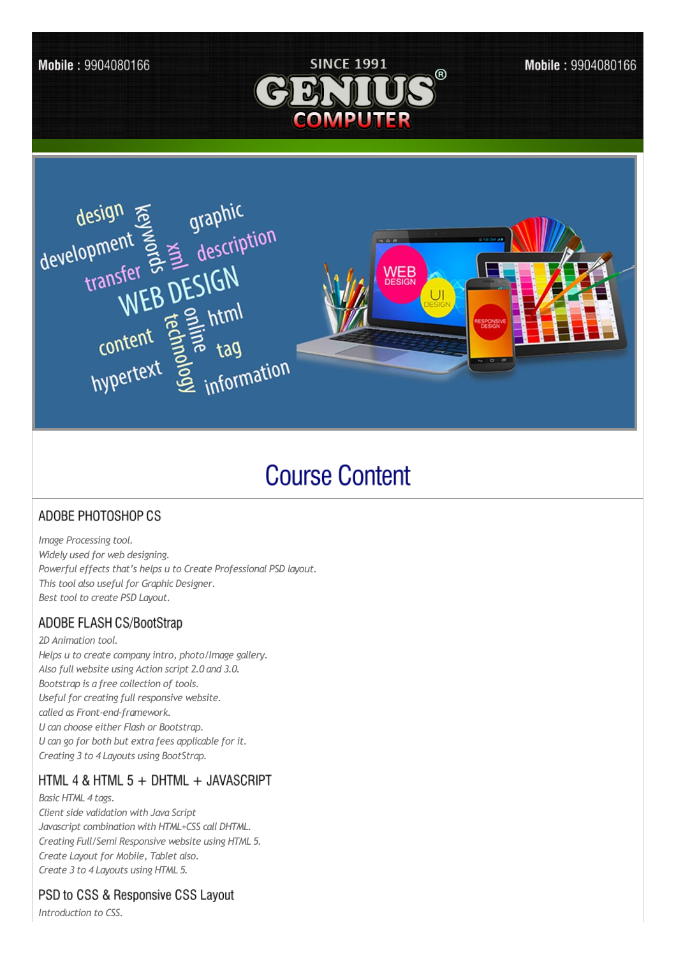

#### Mobile: 9904080166



# **Course Content**

## ADOBE PHOTOSHOP CS

*Image Processing tool. Widely used for web designing. Powerful effects that's helps u to Create Professional PSD layout. This tool also usefulfor Graphic Designer. Best tool to create PSD Layout.* 

## ADOBE FLASH CS/BootStrap

*2D Animation tool. Helps u to create company intro, photo/Image gallery. Also full website using Action script 2.0 and 3.0. Bootstrap is a free collection of tools. Useful for creating full responsive website. called as Front-end-framework. U can choose either Flash or Bootstrap. U can go for both but extra fees applicable for it. Creating 3 to 4 Layouts using BootStrap.*

## HTML 4 & HTML 5 + DHTML + JAVASCRIPT

*Basic HTML 4 tags. Client side validation with Java Script Javascript combination with HTML+CSS call DHTML. Creating Full/Semi Responsive website using HTML 5. Create Layout for Mobile, Tablet also. Create 3 to 4 Layouts using HTML 5.*

## PSD to CSS & Responsive CSS Layout

*Introduction to CSS.*